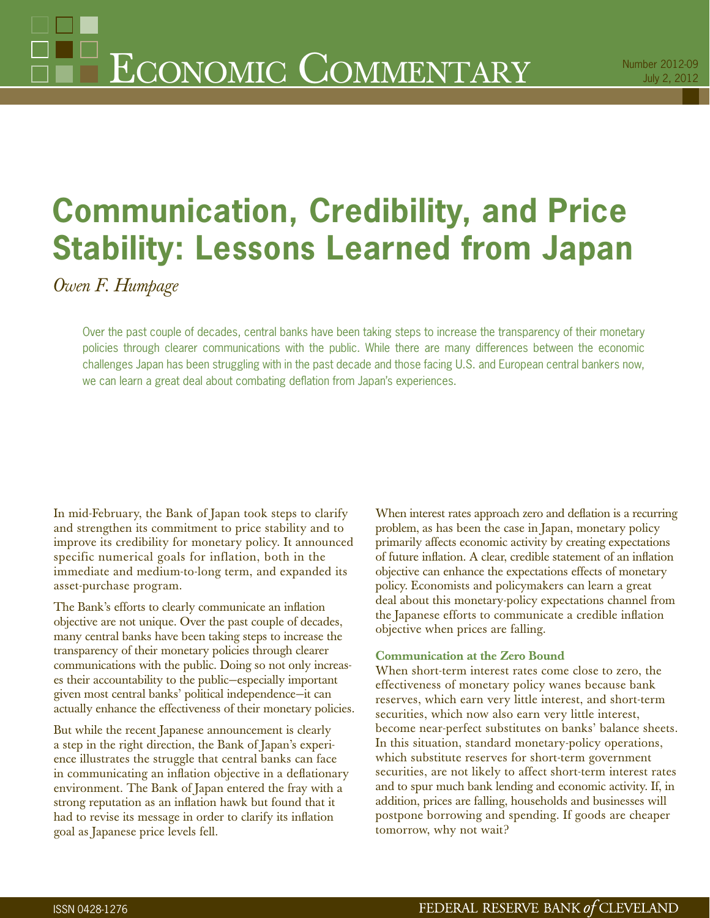# **Communication, Credibility, and Price Stability: Lessons Learned from Japan**

*Owen F. Humpage*

Over the past couple of decades, central banks have been taking steps to increase the transparency of their monetary policies through clearer communications with the public. While there are many differences between the economic challenges Japan has been struggling with in the past decade and those facing U.S. and European central bankers now, we can learn a great deal about combating deflation from Japan's experiences.

In mid-February, the Bank of Japan took steps to clarify and strengthen its commitment to price stability and to improve its credibility for monetary policy. It announced specific numerical goals for inflation, both in the immediate and medium-to-long term, and expanded its asset-purchase program.

The Bank's efforts to clearly communicate an inflation objective are not unique. Over the past couple of decades, many central banks have been taking steps to increase the transparency of their monetary policies through clearer communications with the public. Doing so not only increases their accountability to the public—especially important given most central banks' political independence—it can actually enhance the effectiveness of their monetary policies.

But while the recent Japanese announcement is clearly a step in the right direction, the Bank of Japan's experience illustrates the struggle that central banks can face in communicating an inflation objective in a deflationary environment. The Bank of Japan entered the fray with a strong reputation as an inflation hawk but found that it had to revise its message in order to clarify its inflation goal as Japanese price levels fell.

When interest rates approach zero and deflation is a recurring problem, as has been the case in Japan, monetary policy primarily affects economic activity by creating expectations of future inflation. A clear, credible statement of an inflation objective can enhance the expectations effects of monetary policy. Economists and policymakers can learn a great deal about this monetary-policy expectations channel from the Japanese efforts to communicate a credible inflation objective when prices are falling.

### **Communication at the Zero Bound**

When short-term interest rates come close to zero, the effectiveness of monetary policy wanes because bank reserves, which earn very little interest, and short-term securities, which now also earn very little interest, become near-perfect substitutes on banks' balance sheets. In this situation, standard monetary-policy operations, which substitute reserves for short-term government securities, are not likely to affect short-term interest rates and to spur much bank lending and economic activity. If, in addition, prices are falling, households and businesses will postpone borrowing and spending. If goods are cheaper tomorrow, why not wait?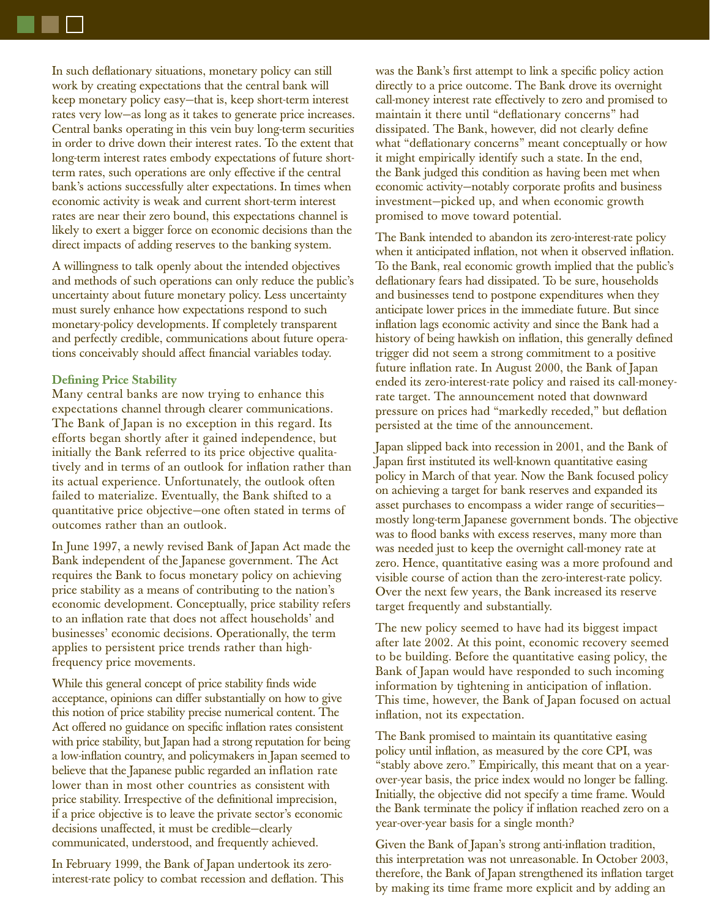In such deflationary situations, monetary policy can still work by creating expectations that the central bank will keep monetary policy easy—that is, keep short-term interest rates very low—as long as it takes to generate price increases. Central banks operating in this vein buy long-term securities in order to drive down their interest rates. To the extent that long-term interest rates embody expectations of future shortterm rates, such operations are only effective if the central bank's actions successfully alter expectations. In times when economic activity is weak and current short-term interest rates are near their zero bound, this expectations channel is likely to exert a bigger force on economic decisions than the direct impacts of adding reserves to the banking system.

A willingness to talk openly about the intended objectives and methods of such operations can only reduce the public's uncertainty about future monetary policy. Less uncertainty must surely enhance how expectations respond to such monetary-policy developments. If completely transparent and perfectly credible, communications about future operations conceivably should affect financial variables today.

#### **Defining Price Stability**

Many central banks are now trying to enhance this expectations channel through clearer communications. The Bank of Japan is no exception in this regard. Its efforts began shortly after it gained independence, but initially the Bank referred to its price objective qualitatively and in terms of an outlook for inflation rather than its actual experience. Unfortunately, the outlook often failed to materialize. Eventually, the Bank shifted to a quantitative price objective—one often stated in terms of outcomes rather than an outlook.

In June 1997, a newly revised Bank of Japan Act made the Bank independent of the Japanese government. The Act requires the Bank to focus monetary policy on achieving price stability as a means of contributing to the nation's economic development. Conceptually, price stability refers to an inflation rate that does not affect households' and businesses' economic decisions. Operationally, the term applies to persistent price trends rather than highfrequency price movements.

While this general concept of price stability finds wide acceptance, opinions can differ substantially on how to give this notion of price stability precise numerical content. The Act offered no guidance on specific inflation rates consistent with price stability, but Japan had a strong reputation for being a low-inflation country, and policymakers in Japan seemed to believe that the Japanese public regarded an inflation rate lower than in most other countries as consistent with price stability. Irrespective of the definitional imprecision, if a price objective is to leave the private sector's economic decisions unaffected, it must be credible—clearly communicated, understood, and frequently achieved.

In February 1999, the Bank of Japan undertook its zerointerest-rate policy to combat recession and deflation. This was the Bank's first attempt to link a specific policy action directly to a price outcome. The Bank drove its overnight call-money interest rate effectively to zero and promised to maintain it there until "deflationary concerns" had dissipated. The Bank, however, did not clearly define what "deflationary concerns" meant conceptually or how it might empirically identify such a state. In the end, the Bank judged this condition as having been met when economic activity—notably corporate profits and business investment—picked up, and when economic growth promised to move toward potential.

The Bank intended to abandon its zero-interest-rate policy when it anticipated inflation, not when it observed inflation. To the Bank, real economic growth implied that the public's deflationary fears had dissipated. To be sure, households and businesses tend to postpone expenditures when they anticipate lower prices in the immediate future. But since inflation lags economic activity and since the Bank had a history of being hawkish on inflation, this generally defined trigger did not seem a strong commitment to a positive future inflation rate. In August 2000, the Bank of Japan ended its zero-interest-rate policy and raised its call-moneyrate target. The announcement noted that downward pressure on prices had "markedly receded," but deflation persisted at the time of the announcement.

Japan slipped back into recession in 2001, and the Bank of Japan first instituted its well-known quantitative easing policy in March of that year. Now the Bank focused policy on achieving a target for bank reserves and expanded its asset purchases to encompass a wider range of securities mostly long-term Japanese government bonds. The objective was to flood banks with excess reserves, many more than was needed just to keep the overnight call-money rate at zero. Hence, quantitative easing was a more profound and visible course of action than the zero-interest-rate policy. Over the next few years, the Bank increased its reserve target frequently and substantially.

The new policy seemed to have had its biggest impact after late 2002. At this point, economic recovery seemed to be building. Before the quantitative easing policy, the Bank of Japan would have responded to such incoming information by tightening in anticipation of inflation. This time, however, the Bank of Japan focused on actual inflation, not its expectation.

The Bank promised to maintain its quantitative easing policy until inflation, as measured by the core CPI, was "stably above zero." Empirically, this meant that on a yearover-year basis, the price index would no longer be falling. Initially, the objective did not specify a time frame. Would the Bank terminate the policy if inflation reached zero on a year-over-year basis for a single month?

Given the Bank of Japan's strong anti-inflation tradition, this interpretation was not unreasonable. In October 2003, therefore, the Bank of Japan strengthened its inflation target by making its time frame more explicit and by adding an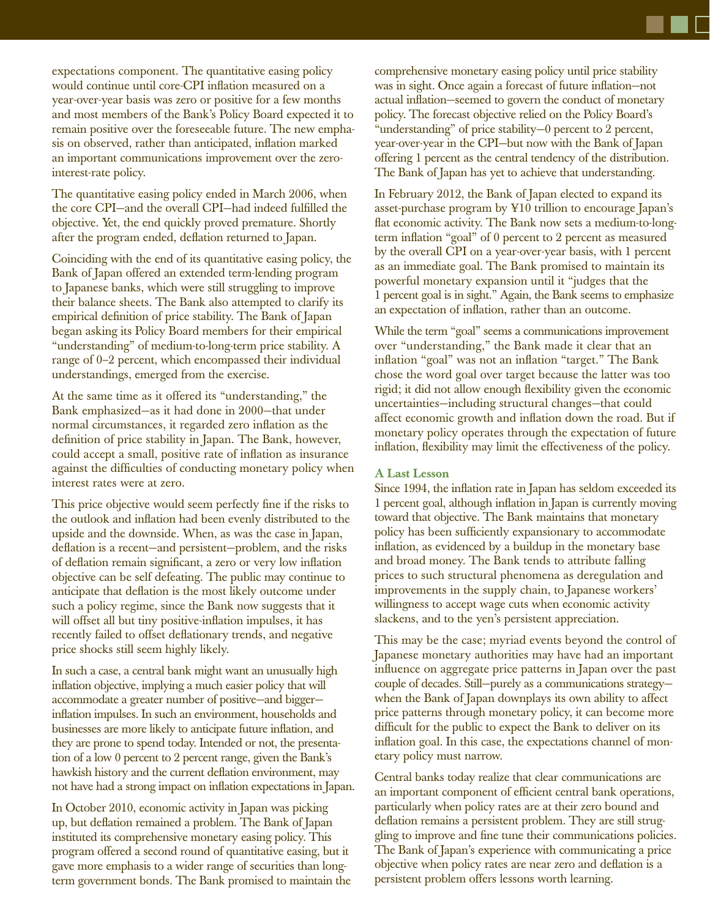expectations component. The quantitative easing policy would continue until core-CPI inflation measured on a year-over-year basis was zero or positive for a few months and most members of the Bank's Policy Board expected it to remain positive over the foreseeable future. The new emphasis on observed, rather than anticipated, inflation marked an important communications improvement over the zerointerest-rate policy.

The quantitative easing policy ended in March 2006, when the core CPI-and the overall CPI-had indeed fulfilled the objective. Yet, the end quickly proved premature. Shortly after the program ended, deflation returned to Japan.

Coinciding with the end of its quantitative easing policy, the Bank of Japan offered an extended term-lending program to Japanese banks, which were still struggling to improve their balance sheets. The Bank also attempted to clarify its empirical definition of price stability. The Bank of Japan began asking its Policy Board members for their empirical "understanding" of medium-to-long-term price stability. A range of 0–2 percent, which encompassed their individual understandings, emerged from the exercise.

At the same time as it offered its "understanding," the Bank emphasized—as it had done in 2000—that under normal circumstances, it regarded zero inflation as the definition of price stability in Japan. The Bank, however, could accept a small, positive rate of inflation as insurance against the difficulties of conducting monetary policy when interest rates were at zero.

This price objective would seem perfectly fine if the risks to the outlook and inflation had been evenly distributed to the upside and the downside. When, as was the case in Japan, deflation is a recent—and persistent—problem, and the risks of deflation remain significant, a zero or very low inflation objective can be self defeating. The public may continue to anticipate that deflation is the most likely outcome under such a policy regime, since the Bank now suggests that it will offset all but tiny positive-inflation impulses, it has recently failed to offset deflationary trends, and negative price shocks still seem highly likely.

In such a case, a central bank might want an unusually high inflation objective, implying a much easier policy that will accommodate a greater number of positive—and bigger inflation impulses. In such an environment, households and businesses are more likely to anticipate future inflation, and they are prone to spend today. Intended or not, the presentation of a low 0 percent to 2 percent range, given the Bank's hawkish history and the current deflation environment, may not have had a strong impact on inflation expectations in Japan.

In October 2010, economic activity in Japan was picking up, but deflation remained a problem. The Bank of Japan instituted its comprehensive monetary easing policy. This program offered a second round of quantitative easing, but it gave more emphasis to a wider range of securities than longterm government bonds. The Bank promised to maintain the comprehensive monetary easing policy until price stability was in sight. Once again a forecast of future inflation—not actual inflation—seemed to govern the conduct of monetary policy. The forecast objective relied on the Policy Board's "understanding" of price stability—0 percent to 2 percent, year-over-year in the CPI—but now with the Bank of Japan offering 1 percent as the central tendency of the distribution. The Bank of Japan has yet to achieve that understanding.

In February 2012, the Bank of Japan elected to expand its asset-purchase program by ¥10 trillion to encourage Japan's flat economic activity. The Bank now sets a medium-to-longterm inflation "goal" of 0 percent to 2 percent as measured by the overall CPI on a year-over-year basis, with 1 percent as an immediate goal. The Bank promised to maintain its powerful monetary expansion until it "judges that the 1 percent goal is in sight." Again, the Bank seems to emphasize an expectation of inflation, rather than an outcome.

While the term "goal" seems a communications improvement over "understanding," the Bank made it clear that an inflation "goal" was not an inflation "target." The Bank chose the word goal over target because the latter was too rigid; it did not allow enough flexibility given the economic uncertainties—including structural changes—that could affect economic growth and inflation down the road. But if monetary policy operates through the expectation of future inflation, flexibility may limit the effectiveness of the policy.

#### **A Last Lesson**

Since 1994, the inflation rate in Japan has seldom exceeded its 1 percent goal, although inflation in Japan is currently moving toward that objective. The Bank maintains that monetary policy has been sufficiently expansionary to accommodate inflation, as evidenced by a buildup in the monetary base and broad money. The Bank tends to attribute falling prices to such structural phenomena as deregulation and improvements in the supply chain, to Japanese workers' willingness to accept wage cuts when economic activity slackens, and to the yen's persistent appreciation.

This may be the case; myriad events beyond the control of Japanese monetary authorities may have had an important influence on aggregate price patterns in Japan over the past couple of decades. Still—purely as a communications strategy when the Bank of Japan downplays its own ability to affect price patterns through monetary policy, it can become more difficult for the public to expect the Bank to deliver on its inflation goal. In this case, the expectations channel of monetary policy must narrow.

Central banks today realize that clear communications are an important component of efficient central bank operations, particularly when policy rates are at their zero bound and deflation remains a persistent problem. They are still struggling to improve and fine tune their communications policies. The Bank of Japan's experience with communicating a price objective when policy rates are near zero and deflation is a persistent problem offers lessons worth learning.